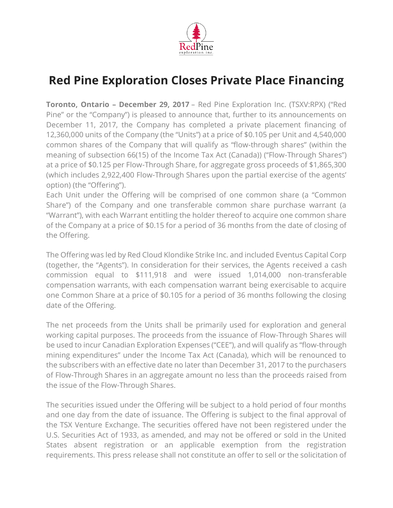

## **Red Pine Exploration Closes Private Place Financing**

**Toronto, Ontario – December 29, 2017** – Red Pine Exploration Inc. (TSXV:RPX) ("Red Pine" or the "Company") is pleased to announce that, further to its announcements on December 11, 2017, the Company has completed a private placement financing of 12,360,000 units of the Company (the "Units") at a price of \$0.105 per Unit and 4,540,000 common shares of the Company that will qualify as "flow-through shares" (within the meaning of subsection 66(15) of the Income Tax Act (Canada)) ("Flow-Through Shares") at a price of \$0.125 per Flow-Through Share, for aggregate gross proceeds of \$1,865,300 (which includes 2,922,400 Flow-Through Shares upon the partial exercise of the agents' option) (the "Offering").

Each Unit under the Offering will be comprised of one common share (a "Common Share") of the Company and one transferable common share purchase warrant (a "Warrant"), with each Warrant entitling the holder thereof to acquire one common share of the Company at a price of \$0.15 for a period of 36 months from the date of closing of the Offering.

The Offering was led by Red Cloud Klondike Strike Inc. and included Eventus Capital Corp (together, the "Agents"). In consideration for their services, the Agents received a cash commission equal to \$111,918 and were issued 1,014,000 non-transferable compensation warrants, with each compensation warrant being exercisable to acquire one Common Share at a price of \$0.105 for a period of 36 months following the closing date of the Offering.

The net proceeds from the Units shall be primarily used for exploration and general working capital purposes. The proceeds from the issuance of Flow-Through Shares will be used to incur Canadian Exploration Expenses ("CEE"), and will qualify as "flow-through mining expenditures" under the Income Tax Act (Canada), which will be renounced to the subscribers with an effective date no later than December 31, 2017 to the purchasers of Flow-Through Shares in an aggregate amount no less than the proceeds raised from the issue of the Flow-Through Shares.

The securities issued under the Offering will be subject to a hold period of four months and one day from the date of issuance. The Offering is subject to the final approval of the TSX Venture Exchange. The securities offered have not been registered under the U.S. Securities Act of 1933, as amended, and may not be offered or sold in the United States absent registration or an applicable exemption from the registration requirements. This press release shall not constitute an offer to sell or the solicitation of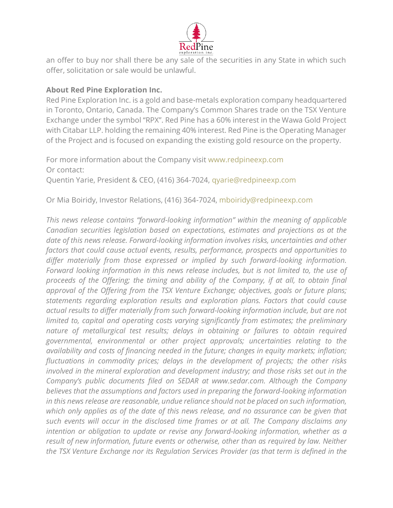

an offer to buy nor shall there be any sale of the securities in any State in which such offer, solicitation or sale would be unlawful.

## **About Red Pine Exploration Inc.**

Red Pine Exploration Inc. is a gold and base-metals exploration company headquartered in Toronto, Ontario, Canada. The Company's Common Shares trade on the TSX Venture Exchange under the symbol "RPX". Red Pine has a 60% interest in the Wawa Gold Project with Citabar LLP. holding the remaining 40% interest. Red Pine is the Operating Manager of the Project and is focused on expanding the existing gold resource on the property.

For more information about the Company visit [www.redpineexp.com](http://www.redpineexp.com/) Or contact: Quentin Yarie, President & CEO, (416) 364-7024, [qyarie@redpineexp.com](mailto:qyarie@redpineexp.com)

Or Mia Boiridy, Investor Relations, (416) 364-7024, [mboiridy@redpineexp.com](mailto:mboiridy@redpineexp.com)

*This news release contains "forward-looking information" within the meaning of applicable Canadian securities legislation based on expectations, estimates and projections as at the date of this news release. Forward-looking information involves risks, uncertainties and other factors that could cause actual events, results, performance, prospects and opportunities to differ materially from those expressed or implied by such forward-looking information. Forward looking information in this news release includes, but is not limited to, the use of proceeds of the Offering; the timing and ability of the Company, if at all, to obtain final approval of the Offering from the TSX Venture Exchange; objectives, goals or future plans; statements regarding exploration results and exploration plans. Factors that could cause actual results to differ materially from such forward-looking information include, but are not limited to, capital and operating costs varying significantly from estimates; the preliminary nature of metallurgical test results; delays in obtaining or failures to obtain required governmental, environmental or other project approvals; uncertainties relating to the availability and costs of financing needed in the future; changes in equity markets; inflation; fluctuations in commodity prices; delays in the development of projects; the other risks involved in the mineral exploration and development industry; and those risks set out in the Company's public documents filed on SEDAR at www.sedar.com. Although the Company believes that the assumptions and factors used in preparing the forward-looking information in this news release are reasonable, undue reliance should not be placed on such information, which only applies as of the date of this news release, and no assurance can be given that such events will occur in the disclosed time frames or at all. The Company disclaims any intention or obligation to update or revise any forward-looking information, whether as a result of new information, future events or otherwise, other than as required by law. Neither the TSX Venture Exchange nor its Regulation Services Provider (as that term is defined in the*